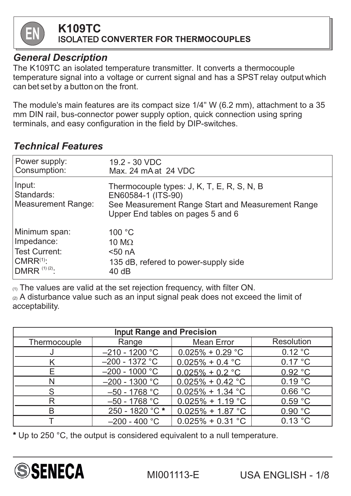

# **K109TC**

ISOLATED **CONVERTER FOR THERMOCOUPLES**

#### *General Description*

The K109TC an isolated temperature transmitter. It converts a thermocouple temperature signal into a voltage or current signal and has a SPST relay output which can bet set by a button on the front.

The module's main features are its compact size 1/4" W (6.2 mm), attachment to a 35 mm DIN rail, bus-connector power supply option, quick connection using spring terminals, and easy configuration in the field by DIP-switches.

### *Technical Features*

| Power supply:                              | 19.2 - 30 VDC                                                                                                                                              |
|--------------------------------------------|------------------------------------------------------------------------------------------------------------------------------------------------------------|
| Consumption:                               | Max. 24 mA at 24 VDC                                                                                                                                       |
| Input:<br>Standards:<br>Measurement Range: | Thermocouple types: J, K, T, E, R, S, N, B<br>EN60584-1 (ITS-90)<br>See Measurement Range Start and Measurement Range<br>Upper End tables on pages 5 and 6 |
| Minimum span:                              | 100 °C                                                                                                                                                     |
| Impedance:                                 | 10 M $\Omega$                                                                                                                                              |
| <b>Test Current:</b>                       | $50$ nA                                                                                                                                                    |
| $CMRR^{(1)}$ :                             | 135 dB, refered to power-supply side                                                                                                                       |
| $ DMRR^{(1)(2)}:$                          | 40dB                                                                                                                                                       |

(1) The values are valid at the set rejection frequency, with filter ON. (2) A disturbance value such as an input signal peak does not exceed the limit of acceptability.

| <b>Input Range and Precision</b> |                  |                     |                   |  |  |  |  |  |
|----------------------------------|------------------|---------------------|-------------------|--|--|--|--|--|
| Thermocouple                     | Range            | <b>Mean Error</b>   | <b>Resolution</b> |  |  |  |  |  |
|                                  | $-210 - 1200$ °C | $0.025\% + 0.29$ °C | 0.12 °C           |  |  |  |  |  |
|                                  | $-200 - 1372$ °C | $0.025\% + 0.4$ °C  | 0.17 °C           |  |  |  |  |  |
| E                                | $-200 - 1000$ °C | $0.025\% + 0.2$ °C  | 0.92 °C           |  |  |  |  |  |
|                                  | $-200 - 1300$ °C | $0.025\% + 0.42$ °C | 0.19 °C           |  |  |  |  |  |
| S                                | $-50 - 1768$ °C  | $0.025\% + 1.34$ °C | 0.66 °C           |  |  |  |  |  |
| R                                | $-50 - 1768$ °C  | $0.025\% + 1.19$ °C | 0.59 °C           |  |  |  |  |  |
| B                                | 250 - 1820 °C*   | $0.025\% + 1.87$ °C | 0.90 °C           |  |  |  |  |  |
|                                  | $-200 - 400$ °C  | $0.025\% + 0.31$ °C | 0.13 °C           |  |  |  |  |  |

\* Up to 250 °C, the output is considered equivalent to a null temperature.

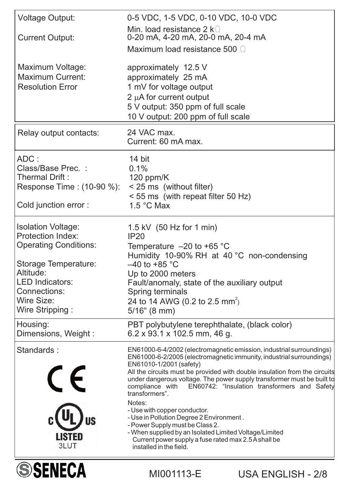| <b>SSENECA</b>                                                                                                                                                                                        | MI001113-E                                                                                                                                                                                                                                                                                                                         | <b>USA ENGLISH - 2/8</b>                                                                                                                                                                                                                                                                                                                             |
|-------------------------------------------------------------------------------------------------------------------------------------------------------------------------------------------------------|------------------------------------------------------------------------------------------------------------------------------------------------------------------------------------------------------------------------------------------------------------------------------------------------------------------------------------|------------------------------------------------------------------------------------------------------------------------------------------------------------------------------------------------------------------------------------------------------------------------------------------------------------------------------------------------------|
| Standards:<br>$\epsilon$<br>LISTED<br>3LUT                                                                                                                                                            | EN61010-1/2001 (safety)<br>compliance with<br>transformers".<br>Notes:<br>- Use with copper conductor.<br>- Use in Pollution Degree 2 Environment.<br>- Power Supply must be Class 2.<br>- When supplied by an Isolated Limited Voltage/Limited<br>Current power supply a fuse rated max 2.5 A shall be<br>installed in the field. | EN61000-6-4/2002 (electromagnetic emission, industrial surroundings)<br>EN61000-6-2/2005 (electromagnetic immunity, industrial surroundings)<br>All the circuits must be provided with double insulation from the circuits<br>under dangerous voltage. The power supply transformer must be built to<br>EN60742: "Insulation transformers and Safety |
| Housing:<br>Dimensions, Weight:                                                                                                                                                                       | PBT polybutylene terephthalate, (black color)<br>$6.2 \times 93.1 \times 102.5$ mm, 46 g.                                                                                                                                                                                                                                          |                                                                                                                                                                                                                                                                                                                                                      |
| <b>Isolation Voltage:</b><br><b>Protection Index:</b><br><b>Operating Conditions:</b><br>Storage Temperature:<br>Altitude:<br><b>LED Indicators:</b><br>Connections:<br>Wire Size:<br>Wire Stripping: | 1.5 kV $(50 \text{ Hz}$ for 1 min)<br>IP20<br>Temperature $-20$ to +65 °C<br>Humidity 10-90% RH at 40 °C non-condensing<br>$-40$ to +85 °C<br>Up to 2000 meters<br>Fault/anomaly, state of the auxiliary output<br>Spring terminals<br>24 to 14 AWG (0.2 to 2.5 mm <sup>2</sup> )<br>$5/16$ " (8 mm)                               |                                                                                                                                                                                                                                                                                                                                                      |
| ADC:<br>Class/Base Prec. :<br>Thermal Drift:<br>Response Time : (10-90 %):<br>Cold junction error :                                                                                                   | 14 bit<br>0.1%<br>120 ppm/ $K$<br>< 25 ms (without filter)<br>$<$ 55 ms (with repeat filter 50 Hz)<br>1.5 $\degree$ C Max                                                                                                                                                                                                          |                                                                                                                                                                                                                                                                                                                                                      |
| Relay output contacts:                                                                                                                                                                                | 24 VAC max.<br>Current: 60 mA max.                                                                                                                                                                                                                                                                                                 |                                                                                                                                                                                                                                                                                                                                                      |
| Maximum Voltage:<br><b>Maximum Current:</b><br><b>Resolution Error</b>                                                                                                                                | approximately 12.5 V<br>approximately 25 mA<br>1 mV for voltage output<br>2 µA for current output<br>5 V output: 350 ppm of full scale<br>10 V output: 200 ppm of full scale                                                                                                                                                       |                                                                                                                                                                                                                                                                                                                                                      |
| <b>Current Output:</b>                                                                                                                                                                                | Min. load resistance 2 k $\Omega$<br>0-20 mA, 4-20 mA, 20-0 mA, 20-4 mA<br>Maximum load resistance 500 Q                                                                                                                                                                                                                           |                                                                                                                                                                                                                                                                                                                                                      |
| <b>Voltage Output:</b>                                                                                                                                                                                | 0-5 VDC, 1-5 VDC, 0-10 VDC, 10-0 VDC                                                                                                                                                                                                                                                                                               |                                                                                                                                                                                                                                                                                                                                                      |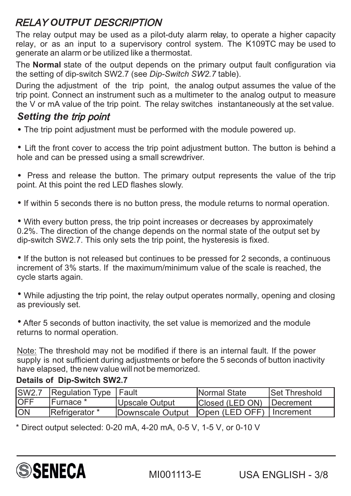## RELAY *OUTPUT* DESCRIPTION

The relay output may be used as a pilot-duty alarm relay, to operate a higher capacity relay, or as an input to a supervisory control system. The K109TC may be used to generate an alarm or be utilized like a thermostat.

The **Normal** state of the output depends on the primary output fault configuration via the setting of dip-switch SW2.7 (see *Dip-Switch SW2.7* table).

During the adjustment of the trip point, the analog output assumes the value of the trip point. Connect an instrument such as a multimeter to the analog output to measure the V or mA value of the trip point. The relay switches instantaneously at the set value.

### *Setting the* trip point

The trip point adjustment must be performed with the module powered up.

 Lift the front cover to access the trip point adjustment button. The button is behind a hole and can be pressed using a small screwdriver.

• Press and release the button. The primary output represents the value of the trip point. At this point the red LED flashes slowly.

• If within 5 seconds there is no button press, the module returns to normal operation.

With every button press, the trip point increases or decreases by approximately 0.2%. The direction of the change depends on the normal state of the output set by dip-switch SW2.7. This only sets the trip point, the hysteresis is fixed.

• If the button is not released but continues to be pressed for 2 seconds, a continuous increment of 3% starts. If the maximum/minimum value of the scale is reached, the cycle starts again.

While adjusting the trip point, the relay output operates normally, opening and closing as previously set.

After 5 seconds of button inactivity, the set value is memorized and the module returns to normal operation.

Note: The threshold may not be modified if there is an internal fault. If the power supply is not sufficient during adjustments or before the 5 seconds of button inactivity have elapsed, the new value will not be memorized.

#### **Details of Dip-Switch SW2.7**

|      | SW2.7 Regulation Type   Fault |                                               | <b>INormal State</b>               | <b>Set Threshold</b> |
|------|-------------------------------|-----------------------------------------------|------------------------------------|----------------------|
| IOFF | IFurnace *                    | Upscale Output                                | <b>IClosed (LED ON) IDecrement</b> |                      |
| ION  | Refrigerator *                | Downscale Output   Open (LED OFF)   Increment |                                    |                      |

 $*$  Direct output selected: 0-20 mA, 4-20 mA, 0-5 V, 1-5 V, or 0-10 V

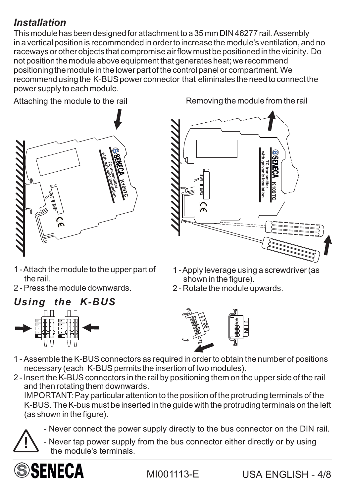## *Installation*

This module has been designed for attachment to a 35 mm DIN46277 rail. Assembly in a vertical position is recommended in order to increase the module's ventilation, and no raceways or other objects that compromise airflow must be positioned in the vicinity. Do not position the module above equipment that generates heat; we recommend positioning the module in the lower part of the control panel or compartment.We recommend using the K-BUS power connector that eliminates the need to connect the power supply to each module.



Attaching the module to the rail Removing the module from the rail



- 1 -Attach the module to the upper part of the rail.
- 2 Press the module downwards.





- 1 -Apply leverage using a screwdriver (as shown in the figure).
- 2 Rotate the module upwards.



- 1 Assemble the K-BUS connectors as required in order to obtain the number of positions necessary (each K-BUS permits the insertion of two modules).
- 2 Insert the K-BUSconnectors in the rail by positioning them on the upper side of the rail and then rotating them downwards.

IMPORTANT: Pay particular attention to the position of the protruding terminals of the K-BUS.The K-bus must be inserted in the guide with the protruding terminals on the left (as shown in the figure).

- Never connect the power supply directly to the bus connector on the DIN rail.

**1** - Never tap power supply from the bus connector either directly or by using the module's terminals.

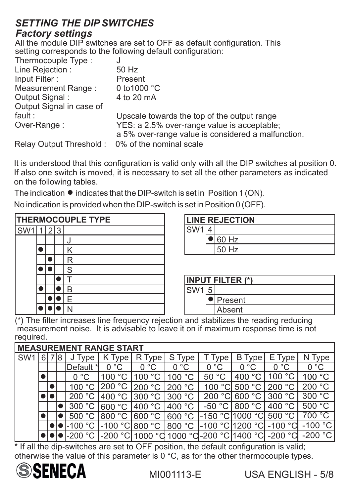#### *SETTING THE DIP SWITCHES Factory setting*<sup>s</sup>

All the module DIP switches are set to OFF as default configuration. This setting corresponds to the following default configuration:

| Thermocouple Type:                              | J                                                  |
|-------------------------------------------------|----------------------------------------------------|
| Line Rejection:                                 | 50 Hz                                              |
| Input Filter:                                   | Present                                            |
| <b>Measurement Range:</b>                       | 0 to 1000 $^{\circ}$ C                             |
| Output Signal:                                  | 4 to 20 mA                                         |
| Output Signal in case of                        |                                                    |
| fault :                                         | Upscale towards the top of the output range        |
| Over-Range:                                     | YES: a 2.5% over-range value is acceptable;        |
|                                                 | a 5% over-range value is considered a malfunction. |
| Relay Output Threshold: 0% of the nominal scale |                                                    |

It is understood that this configuration is valid only with all the DIP switches at position 0. If also one switch is moved, it is necessary to set all the other parameters as indicated on the following tables.

The indication  $\bullet$  indicates that the DIP-switch is set in Position 1 (ON).

No indication is provided when the DIP-switch is set in Position 0 (OFF).

| <b>THERMOCOUPLE TYPE</b> |  |       |  |              |  |  |
|--------------------------|--|-------|--|--------------|--|--|
| SW <sub>1</sub>          |  | 1 2 3 |  |              |  |  |
|                          |  |       |  |              |  |  |
|                          |  |       |  | K            |  |  |
|                          |  |       |  | $\mathsf{R}$ |  |  |
|                          |  |       |  | S            |  |  |
|                          |  |       |  |              |  |  |
|                          |  |       |  |              |  |  |
|                          |  |       |  | F            |  |  |
|                          |  |       |  |              |  |  |

|                  | <b>LINE REJECTION</b> |
|------------------|-----------------------|
| ISW <sub>1</sub> |                       |
|                  | 60 Hz                 |
|                  | 50 Hz                 |

|                 | <b>INPUT FILTER (*)</b> |
|-----------------|-------------------------|
| SW <sub>1</sub> |                         |
|                 | Present                 |
|                 | Absent                  |

(\*) The filter increases line frequency rejection and stabilizes the reading reducing measurement noise. It is advisable to leave it on if maximum response time is not required.

|                 | <b>MEASUREMENT RANGE START</b> |  |   |                    |                    |                     |                         |                                   |                        |                             |                        |  |
|-----------------|--------------------------------|--|---|--------------------|--------------------|---------------------|-------------------------|-----------------------------------|------------------------|-----------------------------|------------------------|--|
| SW <sub>1</sub> | 6                              |  | 8 | Type               | K Type             | R Type              | S Type                  | Type                              | B<br>∍ Type ′          | Е,<br>Type                  | Type                   |  |
|                 |                                |  |   | Default<br>∗       | 0 °C               | $^{\circ}C$<br>0    | $^{\circ}C$<br>$\Omega$ | $^{\circ}C$<br><sup>0</sup>       | $^{\circ}C$<br>0       | $^{\circ}C$                 | $^{\circ}C$            |  |
|                 |                                |  |   | $^{\circ}C$        | 100                | 100<br>$^{\circ}C$  | $^{\circ}C$<br>100      | 50                                | $\rm ^{\circ}C$<br>400 | 100                         | $^{\circ}C$<br>100     |  |
|                 |                                |  |   |                    | $^{\circ}C$<br>200 | 200<br>$^{\circ}$ C | 200<br>$^{\circ}C$      | $^{\circ}$ C<br>100               | 500<br>$^{\circ}C$     | $^{\circ}C$<br>200          | $^{\circ}$ C<br>200    |  |
|                 |                                |  |   | 200                | $^{\circ}C$<br>400 | 300<br>$^{\circ}C$  | $^{\circ}C$<br>300      | 200                               | $^{\circ}C$<br>600     | $^{\circ}C$<br>300          | $^{\circ}C$<br>300     |  |
|                 |                                |  |   | $^{\circ}C$<br>300 | 600 °C             | 400 °C              | 400 $^{\circ}$ C        | $^{\circ}{\rm C}$<br>$-50$        | $^{\circ}C$<br>800     | 400                         | $^{\circ}C$<br>500     |  |
|                 |                                |  |   | 500                | 800                | 600 °C              | 600 °C                  | $-150$                            | $^{\circ}C$<br>1000    | $^{\circ}C$<br>500          | $^{\circ}C$<br>700     |  |
|                 |                                |  |   | $1 - 100$          | $-100$ °C          | 800 °C              | $^{\circ}C$<br>800      | $^{\circ}$ C<br>$-100$            | $^{\circ}$ C<br>200    | $-100$<br>್ದ                | $^{\circ}$ C<br>$-100$ |  |
|                 |                                |  |   | $-200$             | $-200$ °C          |                     |                         | 1000 °C 1000 °C -200 °C   1400 °C |                        | $^{\circ}$ $\cap$<br>$-200$ | $-200$                 |  |

\* If all the dip-switches are set to OFF position, the default configuration is valid; otherwise the value of this parameter is 0 °C, as for the other thermocouple types.

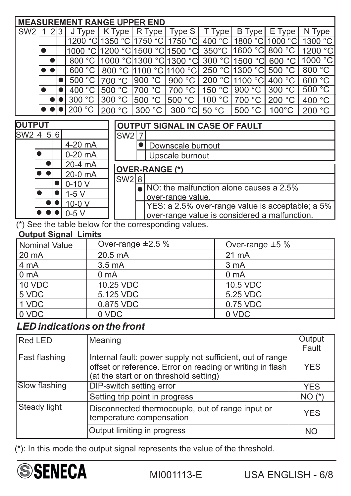|               | <b>MEASUREMENT RANGE UPPER END</b> |                |     |                                                       |  |                                                                                                   |   |                       |                   |  |                 |                                       |                                         |         |
|---------------|------------------------------------|----------------|-----|-------------------------------------------------------|--|---------------------------------------------------------------------------------------------------|---|-----------------------|-------------------|--|-----------------|---------------------------------------|-----------------------------------------|---------|
| SW2           | 1                                  |                | 2 3 | $J$ Type $ $                                          |  | $K$ Type $ R$ Type                                                                                |   |                       | Type S            |  | T Type          | B Type                                | E Type                                  | N Type  |
|               |                                    |                |     | 1200 °C 1350 °C 1750 °C                               |  |                                                                                                   |   |                       | 1750 °C           |  | 400 °C          |                                       | 1800 °C 1000 °C                         | 1300 °C |
|               |                                    |                |     | 1000 °C                                               |  |                                                                                                   |   | 1200 °C 1500 °C       | 1500 °Cl          |  | $350^{\circ}$ C | 1600 °C                               | 800 °C                                  | 1200 °C |
|               |                                    |                |     | 800 °C                                                |  | 1000 °C                                                                                           |   | '1300 °Cl             | 1300 °Cl          |  | 300 °C          | 1500 °C                               | 600 °C                                  | 1000 °C |
|               |                                    |                |     | 600 °C                                                |  |                                                                                                   |   | 800 °C  1100 °C       | 1100 °C           |  | 250 °C          | 1300 °C                               | 500 °C                                  | 800 °C  |
|               |                                    |                |     | 500 °C                                                |  | 700 °C                                                                                            |   | 900 °C                | 900 °C            |  | 200 °C          | 1100 °C                               | 400 °C                                  | 600 °C  |
|               |                                    |                |     | 400 °C                                                |  | 500 °C                                                                                            |   | 700 °C                | 700 °C            |  | 150 °C          | 900 °C                                | 300 °C                                  | 500 °C  |
|               |                                    |                |     | 300 °C                                                |  | 300 °C                                                                                            |   | 500 °C                | 500 °C            |  | 100 °C          | 700 °C                                | 200 °C                                  | 400 °C  |
|               |                                    |                |     | 200 °C                                                |  | 200 °C                                                                                            |   | 300 °C                | 300 °C            |  | 50 °C           | 500 °C                                | 100°C                                   | 200 °C  |
| <b>OUTPUT</b> |                                    |                |     |                                                       |  |                                                                                                   |   |                       |                   |  |                 | <b>OUTPUT SIGNAL IN CASE OF FAULT</b> |                                         |         |
| SW2 4         |                                    | 5 <sup>2</sup> | 6   |                                                       |  | SW <sub>2</sub>                                                                                   |   |                       |                   |  |                 |                                       |                                         |         |
|               |                                    |                |     | 4-20 mA                                               |  |                                                                                                   |   |                       | Downscale burnout |  |                 |                                       |                                         |         |
|               |                                    |                |     | $0-20$ mA                                             |  |                                                                                                   |   |                       | Upscale burnout   |  |                 |                                       |                                         |         |
|               |                                    |                |     | 20-4 mA                                               |  |                                                                                                   |   |                       |                   |  |                 |                                       |                                         |         |
|               |                                    |                |     | 20-0 mA                                               |  |                                                                                                   |   | <b>OVER-RANGE (*)</b> |                   |  |                 |                                       |                                         |         |
|               |                                    |                |     | $0-10V$                                               |  | SW <sub>2</sub>                                                                                   | 8 |                       |                   |  |                 |                                       |                                         |         |
|               |                                    |                |     | $1-5V$                                                |  |                                                                                                   |   |                       |                   |  |                 |                                       | NO: the malfunction alone causes a 2.5% |         |
|               |                                    |                |     | $10-0$ V                                              |  | over-range value.                                                                                 |   |                       |                   |  |                 |                                       |                                         |         |
|               |                                    |                |     | $0-5V$                                                |  | YES: a 2.5% over-range value is acceptable; a 5%<br>over-range value is considered a malfunction. |   |                       |                   |  |                 |                                       |                                         |         |
|               |                                    |                |     |                                                       |  |                                                                                                   |   |                       |                   |  |                 |                                       |                                         |         |
|               |                                    |                |     | (*) See the table below for the corresponding values. |  |                                                                                                   |   |                       |                   |  |                 |                                       |                                         |         |

#### **Output Signal Limits**

| <b>Nominal Value</b> | Over-range $\pm 2.5$ % | Over-range $\pm 5$ % |
|----------------------|------------------------|----------------------|
| 20 mA                | 20.5 mA                | 21 mA                |
| 4 mA                 | 3.5 <sub>m</sub> A     | 3 <sub>m</sub> A     |
| 0 <sub>m</sub> A     | 0 <sub>m</sub> A       | 0 <sub>m</sub> A     |
| <b>10 VDC</b>        | 10.25 VDC              | 10.5 VDC             |
| 5 VDC                | 5.125 VDC              | 5.25 VDC             |
| 1 VDC                | 0.875 VDC              | 0.75 VDC             |
| $\vert$ 0 VDC        | 0 VDC                  | 0 VDC                |

### *LED indications on the front*

| <b>Red LED</b> | Meaning                                                                                                                                                          | Output<br>Fault |
|----------------|------------------------------------------------------------------------------------------------------------------------------------------------------------------|-----------------|
| Fast flashing  | Internal fault: power supply not sufficient, out of range<br>offset or reference. Error on reading or writing in flash<br>(at the start or on threshold setting) | <b>YES</b>      |
| Slow flashing  | <b>DIP-switch setting error</b>                                                                                                                                  | <b>YES</b>      |
|                | Setting trip point in progress                                                                                                                                   | $NO(*)$         |
| Steady light   | Disconnected thermocouple, out of range input or<br>temperature compensation                                                                                     | <b>YES</b>      |
|                | Output limiting in progress                                                                                                                                      | NΟ              |

(\*): In this mode the output signal represents the value of the threshold.

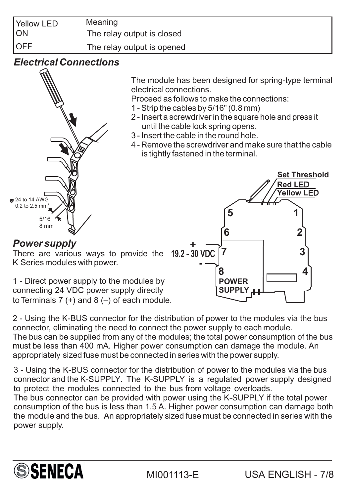| <b>Yellow LED</b> | Meaning                    |
|-------------------|----------------------------|
| <b>ION</b>        | The relay output is closed |
| <b>IOFF</b>       | The relay output is opened |

#### *Electrical Connections*



The module has been designed for spring-type terminal electrical connections.

Proceed as follows to make the connections:

- 1 Strip the cables by 5/16" (0.8 mm)
- 2 Insert a screwdriver in the square hole and press it until the cable lock spring opens.
- 3 Insert the cable in the round hole.
- 4 Remove the screwdriver and make sure that the cable is tightly fastened in the terminal.

*Power supply* There are various ways to provide the K Series modules with power. 1 - Direct power supply to the modules by connecting 24 VDC power supply directly to Terminals  $7 (+)$  and  $8 (-)$  of each module. **5 1 6 7 8 2 3 4 POWER SUPPLY - + 19.2** - **30 V**DC **Set Threshold Red L**ED **Yellow L**ED

2 - Using the K-BUS connector for the distribution of power to the modules via the bus connector, eliminating the need to connect the power supply to each module. The bus can be supplied from any of the modules; the total power consumption of the bus must be less than 400 mA. Higher power consumption can damage the module. An appropriately sized fuse must be connected in series with the power supply.

3 - Using the K-BUS connector for the distribution of power to the modules via the bus connector and the K-SUPPLY. The K-SUPPLY is a regulated power supply designed to protect the modules connected to the bus from voltage overloads. The bus connector can be provided with power using the K-SUPPLY if the total power consumption of the bus is less than 1.5 A. Higher power consumption can damage both the module and the bus. An appropriately sized fuse must be connected in series with the power supply.